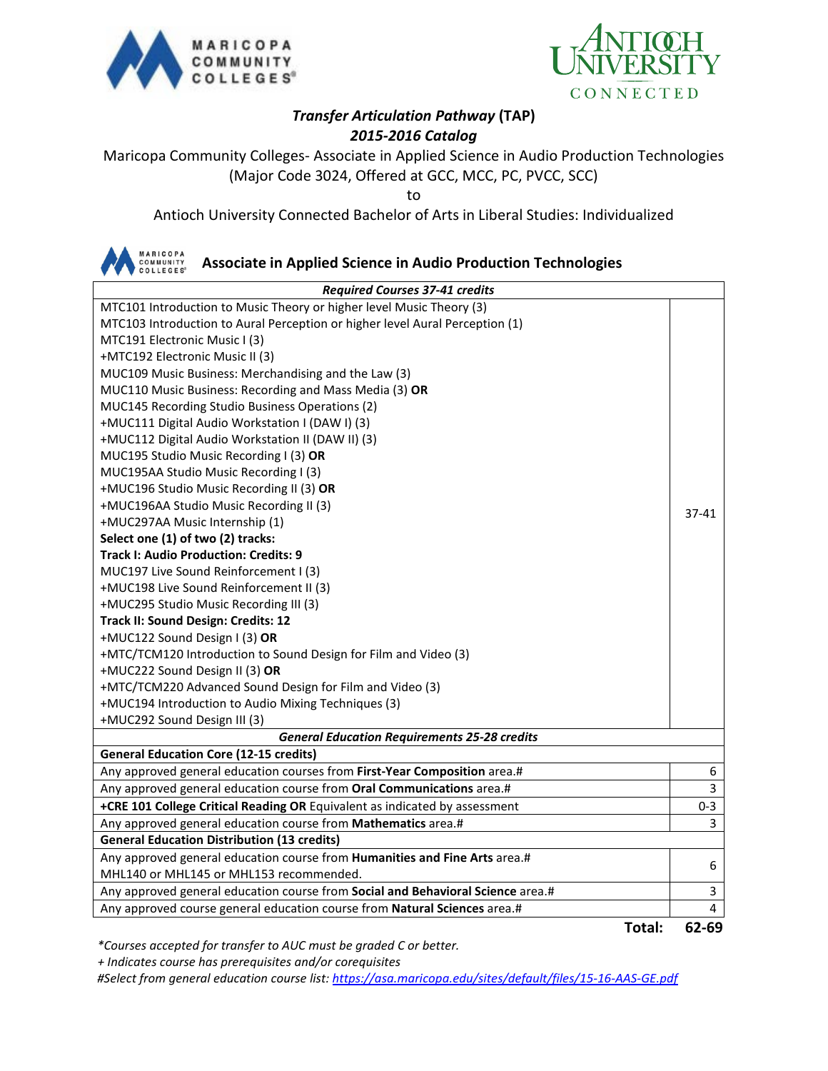



### *Transfer Articulation Pathway* **(TAP)** *2015-2016 Catalog*

Maricopa Community Colleges- Associate in Applied Science in Audio Production Technologies (Major Code 3024, Offered at GCC, MCC, PC, PVCC, SCC)

to

Antioch University Connected Bachelor of Arts in Liberal Studies: Individualized



### **Associate in Applied Science in Audio Production Technologies**

| <b>Required Courses 37-41 credits</b>                                           |                |  |
|---------------------------------------------------------------------------------|----------------|--|
| MTC101 Introduction to Music Theory or higher level Music Theory (3)            |                |  |
| MTC103 Introduction to Aural Perception or higher level Aural Perception (1)    |                |  |
| MTC191 Electronic Music I (3)                                                   |                |  |
| +MTC192 Electronic Music II (3)                                                 |                |  |
| MUC109 Music Business: Merchandising and the Law (3)                            |                |  |
| MUC110 Music Business: Recording and Mass Media (3) OR                          |                |  |
| MUC145 Recording Studio Business Operations (2)                                 |                |  |
| +MUC111 Digital Audio Workstation I (DAW I) (3)                                 |                |  |
| +MUC112 Digital Audio Workstation II (DAW II) (3)                               |                |  |
| MUC195 Studio Music Recording I (3) OR                                          |                |  |
| MUC195AA Studio Music Recording I (3)                                           |                |  |
| +MUC196 Studio Music Recording II (3) OR                                        |                |  |
| +MUC196AA Studio Music Recording II (3)                                         | $37 - 41$      |  |
| +MUC297AA Music Internship (1)                                                  |                |  |
| Select one (1) of two (2) tracks:                                               |                |  |
| <b>Track I: Audio Production: Credits: 9</b>                                    |                |  |
| MUC197 Live Sound Reinforcement I (3)                                           |                |  |
| +MUC198 Live Sound Reinforcement II (3)                                         |                |  |
| +MUC295 Studio Music Recording III (3)                                          |                |  |
| Track II: Sound Design: Credits: 12                                             |                |  |
| +MUC122 Sound Design I (3) OR                                                   |                |  |
| +MTC/TCM120 Introduction to Sound Design for Film and Video (3)                 |                |  |
| +MUC222 Sound Design II (3) OR                                                  |                |  |
| +MTC/TCM220 Advanced Sound Design for Film and Video (3)                        |                |  |
| +MUC194 Introduction to Audio Mixing Techniques (3)                             |                |  |
| +MUC292 Sound Design III (3)                                                    |                |  |
| <b>General Education Requirements 25-28 credits</b>                             |                |  |
| <b>General Education Core (12-15 credits)</b>                                   |                |  |
| Any approved general education courses from First-Year Composition area.#       | 6              |  |
| Any approved general education course from Oral Communications area.#           | 3              |  |
| +CRE 101 College Critical Reading OR Equivalent as indicated by assessment      | $0 - 3$        |  |
| Any approved general education course from Mathematics area.#                   | 3              |  |
| <b>General Education Distribution (13 credits)</b>                              |                |  |
| Any approved general education course from Humanities and Fine Arts area.#      | 6              |  |
| MHL140 or MHL145 or MHL153 recommended.                                         |                |  |
| Any approved general education course from Social and Behavioral Science area.# | 3              |  |
| Any approved course general education course from Natural Sciences area.#       | $\overline{4}$ |  |

**Total: 62-69**

*\*Courses accepted for transfer to AUC must be graded C or better.*

 *+ Indicates course has prerequisites and/or corequisites*

*#Select from general education course list:<https://asa.maricopa.edu/sites/default/files/15-16-AAS-GE.pdf>*